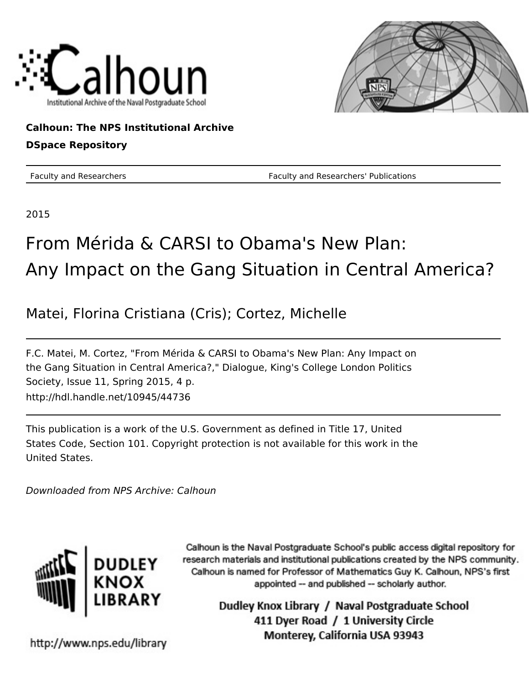



## **Calhoun: The NPS Institutional Archive DSpace Repository**

Faculty and Researchers Faculty and Researchers' Publications

2015

## From Mérida & CARSI to Obama's New Plan: Any Impact on the Gang Situation in Central America?

Matei, Florina Cristiana (Cris); Cortez, Michelle

F.C. Matei, M. Cortez, "From Mérida & CARSI to Obama's New Plan: Any Impact on the Gang Situation in Central America?," Dialogue, King's College London Politics Society, Issue 11, Spring 2015, 4 p. http://hdl.handle.net/10945/44736

This publication is a work of the U.S. Government as defined in Title 17, United States Code, Section 101. Copyright protection is not available for this work in the United States.

Downloaded from NPS Archive: Calhoun



Calhoun is the Naval Postgraduate School's public access digital repository for research materials and institutional publications created by the NPS community. Calhoun is named for Professor of Mathematics Guy K. Calhoun, NPS's first appointed -- and published -- scholarly author.

> Dudley Knox Library / Naval Postgraduate School 411 Dyer Road / 1 University Circle Monterey, California USA 93943

http://www.nps.edu/library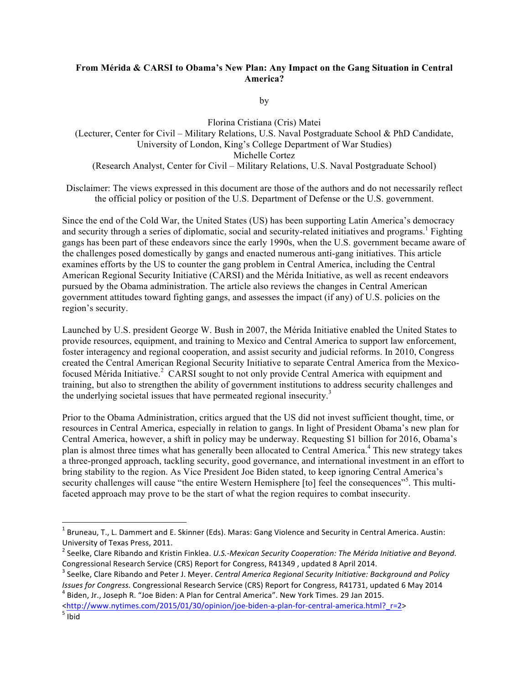## **From Mérida & CARSI to Obama's New Plan: Any Impact on the Gang Situation in Central America?**

by

Florina Cristiana (Cris) Matei (Lecturer, Center for Civil – Military Relations, U.S. Naval Postgraduate School & PhD Candidate, University of London, King's College Department of War Studies) Michelle Cortez (Research Analyst, Center for Civil – Military Relations, U.S. Naval Postgraduate School)

Disclaimer: The views expressed in this document are those of the authors and do not necessarily reflect the official policy or position of the U.S. Department of Defense or the U.S. government.

Since the end of the Cold War, the United States (US) has been supporting Latin America's democracy and security through a series of diplomatic, social and security-related initiatives and programs.<sup>1</sup> Fighting gangs has been part of these endeavors since the early 1990s, when the U.S. government became aware of the challenges posed domestically by gangs and enacted numerous anti-gang initiatives. This article examines efforts by the US to counter the gang problem in Central America, including the Central American Regional Security Initiative (CARSI) and the Mérida Initiative, as well as recent endeavors pursued by the Obama administration. The article also reviews the changes in Central American government attitudes toward fighting gangs, and assesses the impact (if any) of U.S. policies on the region's security.

Launched by U.S. president George W. Bush in 2007, the Mérida Initiative enabled the United States to provide resources, equipment, and training to Mexico and Central America to support law enforcement, foster interagency and regional cooperation, and assist security and judicial reforms. In 2010, Congress created the Central American Regional Security Initiative to separate Central America from the Mexicofocused Mérida Initiative.<sup>2</sup> CARSI sought to not only provide Central America with equipment and training, but also to strengthen the ability of government institutions to address security challenges and the underlying societal issues that have permeated regional insecurity.<sup>3</sup>

Prior to the Obama Administration, critics argued that the US did not invest sufficient thought, time, or resources in Central America, especially in relation to gangs. In light of President Obama's new plan for Central America, however, a shift in policy may be underway. Requesting \$1 billion for 2016, Obama's plan is almost three times what has generally been allocated to Central America.<sup>4</sup> This new strategy takes a three-pronged approach, tackling security, good governance, and international investment in an effort to bring stability to the region. As Vice President Joe Biden stated, to keep ignoring Central America's security challenges will cause "the entire Western Hemisphere [to] feel the consequences"<sup>5</sup>. This multifaceted approach may prove to be the start of what the region requires to combat insecurity.

!!!!!!!!!!!!!!!!!!!!!!!!!!!!!!!!!!!!!!!!!!!!!!!!!!!!!!!!!!!!

 $1$  Bruneau, T., L. Dammert and E. Skinner (Eds). Maras: Gang Violence and Security in Central America. Austin: University of Texas Press, 2011.

<sup>&</sup>lt;sup>2</sup> Seelke, Clare Ribando and Kristin Finklea. *U.S.-Mexican Security Cooperation: The Mérida Initiative and Beyond.* Congressional Research Service (CRS) Report for Congress, R41349 , updated 8 April 2014. **3 Seelke, Clare Ribando and Policy**<br><sup>3</sup> Seelke, Clare Ribando and Peter J. Meyer. *Central America Regional Security Initiative: Bac* 

*Issues for Congress.* Congressional Research Service (CRS) Report for Congress, R41731, updated 6 May 2014 <sup>4</sup> Biden, Jr., Joseph R. "Joe Biden: A Plan for Central America". New York Times. 29 Jan 2015.

<sup>&</sup>lt;http://www.nytimes.com/2015/01/30/opinion/joe-biden-a-plan-for-central-america.html?\_r=2><br>
<sup>5</sup> Ibid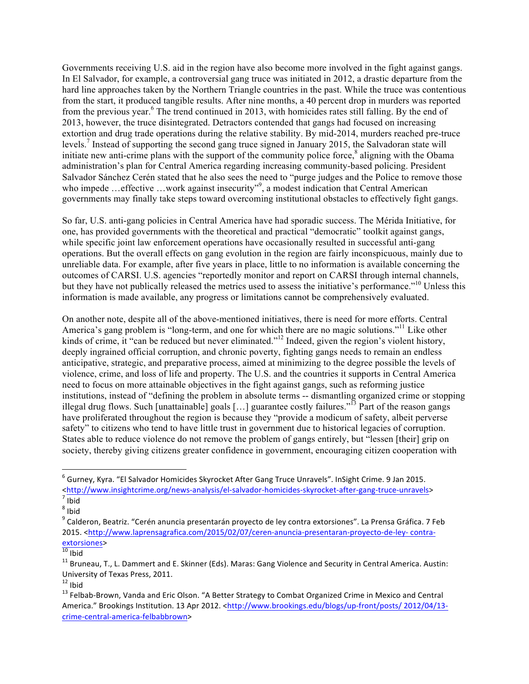Governments receiving U.S. aid in the region have also become more involved in the fight against gangs. In El Salvador, for example, a controversial gang truce was initiated in 2012, a drastic departure from the hard line approaches taken by the Northern Triangle countries in the past. While the truce was contentious from the start, it produced tangible results. After nine months, a 40 percent drop in murders was reported from the previous year.<sup>6</sup> The trend continued in 2013, with homicides rates still falling. By the end of 2013, however, the truce disintegrated. Detractors contended that gangs had focused on increasing extortion and drug trade operations during the relative stability. By mid-2014, murders reached pre-truce levels.7 Instead of supporting the second gang truce signed in January 2015, the Salvadoran state will initiate new anti-crime plans with the support of the community police force,<sup>8</sup> aligning with the Obama administration's plan for Central America regarding increasing community-based policing. President Salvador Sánchez Cerén stated that he also sees the need to "purge judges and the Police to remove those who impede ... effective ... work against insecurity"<sup>9</sup>, a modest indication that Central American governments may finally take steps toward overcoming institutional obstacles to effectively fight gangs.

So far, U.S. anti-gang policies in Central America have had sporadic success. The Mérida Initiative, for one, has provided governments with the theoretical and practical "democratic" toolkit against gangs, while specific joint law enforcement operations have occasionally resulted in successful anti-gang operations. But the overall effects on gang evolution in the region are fairly inconspicuous, mainly due to unreliable data. For example, after five years in place, little to no information is available concerning the outcomes of CARSI. U.S. agencies "reportedly monitor and report on CARSI through internal channels, but they have not publically released the metrics used to assess the initiative's performance."<sup>10</sup> Unless this information is made available, any progress or limitations cannot be comprehensively evaluated.

On another note, despite all of the above-mentioned initiatives, there is need for more efforts. Central America's gang problem is "long-term, and one for which there are no magic solutions."<sup>11</sup> Like other kinds of crime, it "can be reduced but never eliminated."<sup>12</sup> Indeed, given the region's violent history, deeply ingrained official corruption, and chronic poverty, fighting gangs needs to remain an endless anticipative, strategic, and preparative process, aimed at minimizing to the degree possible the levels of violence, crime, and loss of life and property. The U.S. and the countries it supports in Central America need to focus on more attainable objectives in the fight against gangs, such as reforming justice institutions, instead of "defining the problem in absolute terms -- dismantling organized crime or stopping illegal drug flows. Such [unattainable] goals […] guarantee costly failures."<sup>13</sup> Part of the reason gangs have proliferated throughout the region is because they "provide a modicum of safety, albeit perverse safety" to citizens who tend to have little trust in government due to historical legacies of corruption. States able to reduce violence do not remove the problem of gangs entirely, but "lessen [their] grip on society, thereby giving citizens greater confidence in government, encouraging citizen cooperation with

!!!!!!!!!!!!!!!!!!!!!!!!!!!!!!!!!!!!!!!!!!!!!!!!!!!!!!!!!!!!

<sup>&</sup>lt;sup>6</sup> Gurney, Kyra. "El Salvador Homicides Skyrocket After Gang Truce Unravels". InSight Crime. 9 Jan 2015. <http://www.insightcrime.org/news-analysis/el-salvador-homicides-skyrocket-after-gang-truce-unravels><br><sup>7</sup> Ibid

 $8$  Ibid

<sup>&</sup>lt;sup>9</sup> Calderon, Beatriz. "Cerén anuncia presentarán proyecto de ley contra extorsiones". La Prensa Gráfica. 7 Feb 2015. <http://www.laprensagrafica.com/2015/02/07/ceren-anuncia-presentaran-proyecto-de-ley-contra-<br>extorsiones><br><sup>10</sup> Ibid

 $11$  Bruneau, T., L. Dammert and E. Skinner (Eds). Maras: Gang Violence and Security in Central America. Austin: University of Texas Press, 2011.<br><sup>12</sup> Ibid

<sup>&</sup>lt;sup>13</sup> Felbab-Brown, Vanda and Eric Olson. "A Better Strategy to Combat Organized Crime in Mexico and Central America." Brookings Institution. 13 Apr 2012. <http://www.brookings.edu/blogs/up-front/posts/ 2012/04/13crime-central-america-felbabbrown>